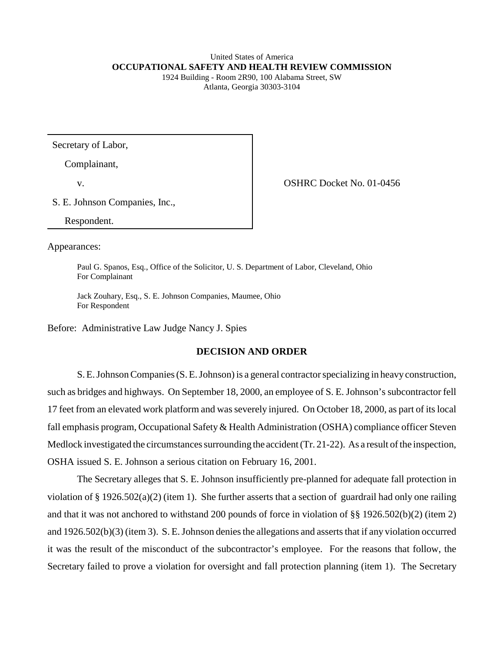### United States of America **OCCUPATIONAL SAFETY AND HEALTH REVIEW COMMISSION**

1924 Building - Room 2R90, 100 Alabama Street, SW Atlanta, Georgia 30303-3104

Secretary of Labor,

Complainant,

v.

OSHRC Docket No. 01-0456

S. E. Johnson Companies, Inc.,

Respondent.

Appearances:

Paul G. Spanos, Esq., Office of the Solicitor, U. S. Department of Labor, Cleveland, Ohio For Complainant

Jack Zouhary, Esq., S. E. Johnson Companies, Maumee, Ohio For Respondent

Before: Administrative Law Judge Nancy J. Spies

# **DECISION AND ORDER**

S. E. Johnson Companies (S. E. Johnson) is a general contractor specializing in heavy construction, such as bridges and highways. On September 18, 2000, an employee of S. E. Johnson's subcontractor fell 17 feet from an elevated work platform and was severely injured. On October 18, 2000, as part of its local fall emphasis program, Occupational Safety & Health Administration (OSHA) compliance officer Steven Medlock investigated the circumstances surrounding the accident (Tr. 21-22). As a result of the inspection, OSHA issued S. E. Johnson a serious citation on February 16, 2001.

The Secretary alleges that S. E. Johnson insufficiently pre-planned for adequate fall protection in violation of § 1926.502(a)(2) (item 1). She further asserts that a section of guardrail had only one railing and that it was not anchored to withstand 200 pounds of force in violation of §§ 1926.502(b)(2) (item 2) and 1926.502(b)(3) (item 3). S. E. Johnson denies the allegations and asserts that if any violation occurred it was the result of the misconduct of the subcontractor's employee. For the reasons that follow, the Secretary failed to prove a violation for oversight and fall protection planning (item 1). The Secretary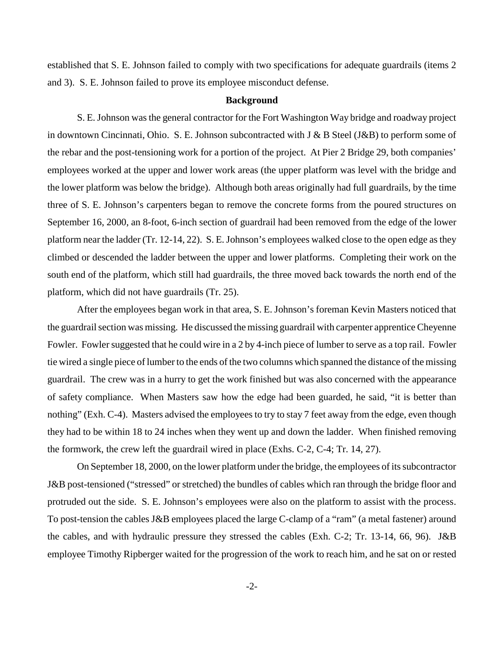established that S. E. Johnson failed to comply with two specifications for adequate guardrails (items 2 and 3). S. E. Johnson failed to prove its employee misconduct defense.

#### **Background**

S. E. Johnson was the general contractor for the Fort Washington Way bridge and roadway project in downtown Cincinnati, Ohio. S. E. Johnson subcontracted with J & B Steel (J&B) to perform some of the rebar and the post-tensioning work for a portion of the project. At Pier 2 Bridge 29, both companies' employees worked at the upper and lower work areas (the upper platform was level with the bridge and the lower platform was below the bridge). Although both areas originally had full guardrails, by the time three of S. E. Johnson's carpenters began to remove the concrete forms from the poured structures on September 16, 2000, an 8-foot, 6-inch section of guardrail had been removed from the edge of the lower platform near the ladder (Tr. 12-14, 22). S. E. Johnson's employees walked close to the open edge as they climbed or descended the ladder between the upper and lower platforms. Completing their work on the south end of the platform, which still had guardrails, the three moved back towards the north end of the platform, which did not have guardrails (Tr. 25).

After the employees began work in that area, S. E. Johnson's foreman Kevin Masters noticed that the guardrail section was missing. He discussed the missing guardrail with carpenter apprentice Cheyenne Fowler. Fowler suggested that he could wire in a 2 by 4-inch piece of lumber to serve as a top rail. Fowler tie wired a single piece of lumber to the ends of the two columns which spanned the distance of the missing guardrail. The crew was in a hurry to get the work finished but was also concerned with the appearance of safety compliance. When Masters saw how the edge had been guarded, he said, "it is better than nothing" (Exh. C-4). Masters advised the employees to try to stay 7 feet away from the edge, even though they had to be within 18 to 24 inches when they went up and down the ladder. When finished removing the formwork, the crew left the guardrail wired in place (Exhs. C-2, C-4; Tr. 14, 27).

On September 18, 2000, on the lower platform under the bridge, the employees of its subcontractor J&B post-tensioned ("stressed" or stretched) the bundles of cables which ran through the bridge floor and protruded out the side. S. E. Johnson's employees were also on the platform to assist with the process. To post-tension the cables J&B employees placed the large C-clamp of a "ram" (a metal fastener) around the cables, and with hydraulic pressure they stressed the cables (Exh. C-2; Tr. 13-14, 66, 96). J&B employee Timothy Ripberger waited for the progression of the work to reach him, and he sat on or rested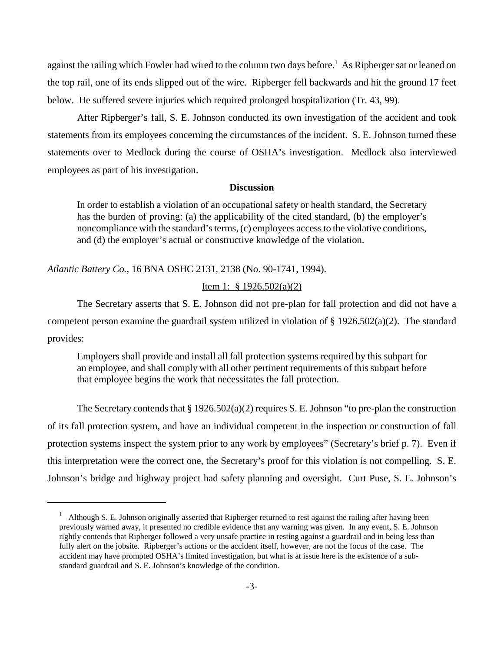against the railing which Fowler had wired to the column two days before. 1 As Ripberger sat or leaned on the top rail, one of its ends slipped out of the wire. Ripberger fell backwards and hit the ground 17 feet below. He suffered severe injuries which required prolonged hospitalization (Tr. 43, 99).

After Ripberger's fall, S. E. Johnson conducted its own investigation of the accident and took statements from its employees concerning the circumstances of the incident. S. E. Johnson turned these statements over to Medlock during the course of OSHA's investigation. Medlock also interviewed employees as part of his investigation.

## **Discussion**

In order to establish a violation of an occupational safety or health standard, the Secretary has the burden of proving: (a) the applicability of the cited standard, (b) the employer's noncompliance with the standard's terms, (c) employees access to the violative conditions, and (d) the employer's actual or constructive knowledge of the violation.

*Atlantic Battery Co.*, 16 BNA OSHC 2131, 2138 (No. 90-1741, 1994).

## Item 1: § 1926.502(a)(2)

The Secretary asserts that S. E. Johnson did not pre-plan for fall protection and did not have a competent person examine the guardrail system utilized in violation of § 1926.502(a)(2). The standard provides:

Employers shall provide and install all fall protection systems required by this subpart for an employee, and shall comply with all other pertinent requirements of this subpart before that employee begins the work that necessitates the fall protection.

The Secretary contends that § 1926.502(a)(2) requires S. E. Johnson "to pre-plan the construction of its fall protection system, and have an individual competent in the inspection or construction of fall protection systems inspect the system prior to any work by employees" (Secretary's brief p. 7). Even if this interpretation were the correct one, the Secretary's proof for this violation is not compelling. S. E. Johnson's bridge and highway project had safety planning and oversight. Curt Puse, S. E. Johnson's

<sup>&</sup>lt;sup>1</sup> Although S. E. Johnson originally asserted that Ripberger returned to rest against the railing after having been previously warned away, it presented no credible evidence that any warning was given. In any event, S. E. Johnson rightly contends that Ripberger followed a very unsafe practice in resting against a guardrail and in being less than fully alert on the jobsite. Ripberger's actions or the accident itself, however, are not the focus of the case. The accident may have prompted OSHA's limited investigation, but what is at issue here is the existence of a substandard guardrail and S. E. Johnson's knowledge of the condition.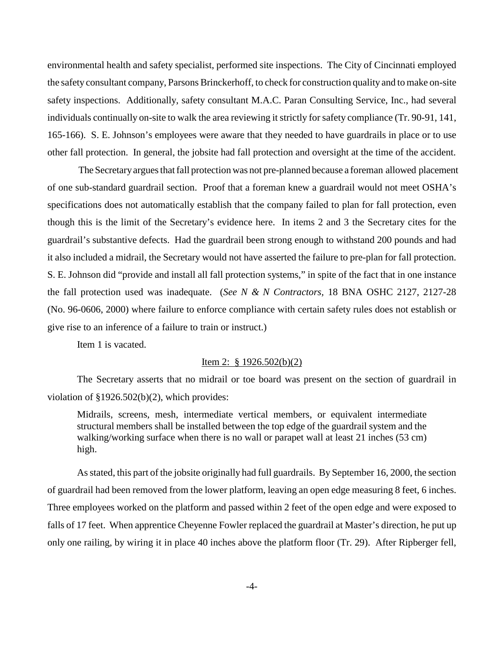environmental health and safety specialist, performed site inspections. The City of Cincinnati employed the safety consultant company, Parsons Brinckerhoff, to check for construction quality and to make on-site safety inspections. Additionally, safety consultant M.A.C. Paran Consulting Service, Inc., had several individuals continually on-site to walk the area reviewing it strictly for safety compliance (Tr. 90-91, 141, 165-166). S. E. Johnson's employees were aware that they needed to have guardrails in place or to use other fall protection. In general, the jobsite had fall protection and oversight at the time of the accident.

The Secretary argues that fall protection was not pre-planned because a foreman allowed placement of one sub-standard guardrail section. Proof that a foreman knew a guardrail would not meet OSHA's specifications does not automatically establish that the company failed to plan for fall protection, even though this is the limit of the Secretary's evidence here. In items 2 and 3 the Secretary cites for the guardrail's substantive defects. Had the guardrail been strong enough to withstand 200 pounds and had it also included a midrail, the Secretary would not have asserted the failure to pre-plan for fall protection. S. E. Johnson did "provide and install all fall protection systems," in spite of the fact that in one instance the fall protection used was inadequate. (*See N & N Contractors,* 18 BNA OSHC 2127, 2127-28 (No. 96-0606, 2000) where failure to enforce compliance with certain safety rules does not establish or give rise to an inference of a failure to train or instruct.)

Item 1 is vacated.

## Item 2: § 1926.502(b)(2)

The Secretary asserts that no midrail or toe board was present on the section of guardrail in violation of §1926.502(b)(2), which provides:

Midrails, screens, mesh, intermediate vertical members, or equivalent intermediate structural members shall be installed between the top edge of the guardrail system and the walking/working surface when there is no wall or parapet wall at least 21 inches (53 cm) high.

As stated, this part of the jobsite originally had full guardrails. By September 16, 2000, the section of guardrail had been removed from the lower platform, leaving an open edge measuring 8 feet, 6 inches. Three employees worked on the platform and passed within 2 feet of the open edge and were exposed to falls of 17 feet. When apprentice Cheyenne Fowler replaced the guardrail at Master's direction, he put up only one railing, by wiring it in place 40 inches above the platform floor (Tr. 29). After Ripberger fell,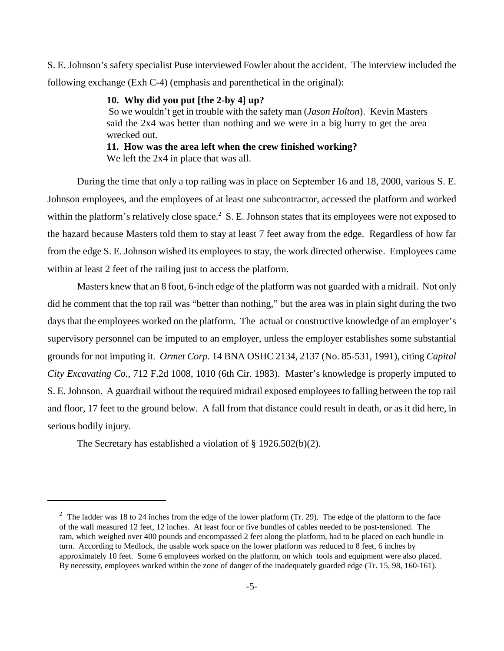S. E. Johnson's safety specialist Puse interviewed Fowler about the accident. The interview included the following exchange (Exh C-4) (emphasis and parenthetical in the original):

# **10. Why did you put [the 2-by 4] up?**

So we wouldn't get in trouble with the safety man (*Jason Holton*). Kevin Masters said the 2x4 was better than nothing and we were in a big hurry to get the area wrecked out.

## **11. How was the area left when the crew finished working?**  We left the 2x4 in place that was all.

During the time that only a top railing was in place on September 16 and 18, 2000, various S. E. Johnson employees, and the employees of at least one subcontractor, accessed the platform and worked within the platform's relatively close space.<sup>2</sup> S. E. Johnson states that its employees were not exposed to the hazard because Masters told them to stay at least 7 feet away from the edge. Regardless of how far from the edge S. E. Johnson wished its employees to stay, the work directed otherwise. Employees came within at least 2 feet of the railing just to access the platform.

Masters knew that an 8 foot, 6-inch edge of the platform was not guarded with a midrail. Not only did he comment that the top rail was "better than nothing," but the area was in plain sight during the two days that the employees worked on the platform. The actual or constructive knowledge of an employer's supervisory personnel can be imputed to an employer, unless the employer establishes some substantial grounds for not imputing it. *Ormet Corp.* 14 BNA OSHC 2134, 2137 (No. 85-531, 1991), citing *Capital City Excavating Co.*, 712 F.2d 1008, 1010 (6th Cir. 1983). Master's knowledge is properly imputed to S. E. Johnson. A guardrail without the required midrail exposed employees to falling between the top rail and floor, 17 feet to the ground below. A fall from that distance could result in death, or as it did here, in serious bodily injury.

The Secretary has established a violation of § 1926.502(b)(2).

 $2\degree$  The ladder was 18 to 24 inches from the edge of the lower platform (Tr. 29). The edge of the platform to the face of the wall measured 12 feet, 12 inches. At least four or five bundles of cables needed to be post-tensioned. The ram, which weighed over 400 pounds and encompassed 2 feet along the platform, had to be placed on each bundle in turn. According to Medlock, the usable work space on the lower platform was reduced to 8 feet, 6 inches by approximately 10 feet. Some 6 employees worked on the platform, on which tools and equipment were also placed. By necessity, employees worked within the zone of danger of the inadequately guarded edge (Tr. 15, 98, 160-161).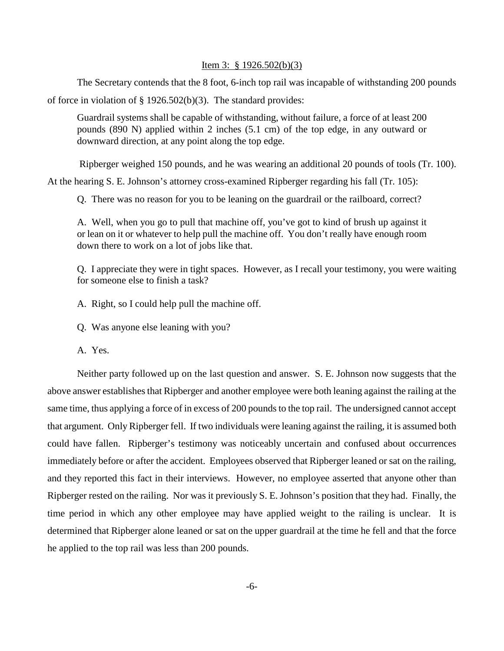#### Item 3: § 1926.502(b)(3)

The Secretary contends that the 8 foot, 6-inch top rail was incapable of withstanding 200 pounds of force in violation of  $\S$  1926.502(b)(3). The standard provides:

Guardrail systems shall be capable of withstanding, without failure, a force of at least 200 pounds (890 N) applied within 2 inches (5.1 cm) of the top edge, in any outward or downward direction, at any point along the top edge.

Ripberger weighed 150 pounds, and he was wearing an additional 20 pounds of tools (Tr. 100).

At the hearing S. E. Johnson's attorney cross-examined Ripberger regarding his fall (Tr. 105):

Q. There was no reason for you to be leaning on the guardrail or the railboard, correct?

A. Well, when you go to pull that machine off, you've got to kind of brush up against it or lean on it or whatever to help pull the machine off. You don't really have enough room down there to work on a lot of jobs like that.

Q. I appreciate they were in tight spaces. However, as I recall your testimony, you were waiting for someone else to finish a task?

A. Right, so I could help pull the machine off.

Q. Was anyone else leaning with you?

A. Yes.

Neither party followed up on the last question and answer. S. E. Johnson now suggests that the above answer establishes that Ripberger and another employee were both leaning against the railing at the same time, thus applying a force of in excess of 200 pounds to the top rail. The undersigned cannot accept that argument. Only Ripberger fell. If two individuals were leaning against the railing, it is assumed both could have fallen. Ripberger's testimony was noticeably uncertain and confused about occurrences immediately before or after the accident. Employees observed that Ripberger leaned or sat on the railing, and they reported this fact in their interviews. However, no employee asserted that anyone other than Ripberger rested on the railing. Nor was it previously S. E. Johnson's position that they had. Finally, the time period in which any other employee may have applied weight to the railing is unclear. It is determined that Ripberger alone leaned or sat on the upper guardrail at the time he fell and that the force he applied to the top rail was less than 200 pounds.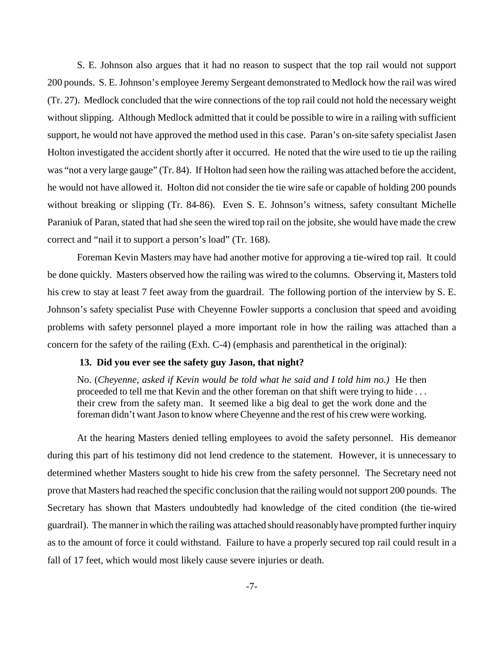S. E. Johnson also argues that it had no reason to suspect that the top rail would not support 200 pounds. S. E. Johnson's employee Jeremy Sergeant demonstrated to Medlock how the rail was wired (Tr. 27). Medlock concluded that the wire connections of the top rail could not hold the necessary weight without slipping. Although Medlock admitted that it could be possible to wire in a railing with sufficient support, he would not have approved the method used in this case. Paran's on-site safety specialist Jasen Holton investigated the accident shortly after it occurred. He noted that the wire used to tie up the railing was "not a very large gauge" (Tr. 84). If Holton had seen how the railing was attached before the accident, he would not have allowed it. Holton did not consider the tie wire safe or capable of holding 200 pounds without breaking or slipping (Tr. 84-86). Even S. E. Johnson's witness, safety consultant Michelle Paraniuk of Paran, stated that had she seen the wired top rail on the jobsite, she would have made the crew correct and "nail it to support a person's load" (Tr. 168).

Foreman Kevin Masters may have had another motive for approving a tie-wired top rail. It could be done quickly. Masters observed how the railing was wired to the columns. Observing it, Masters told his crew to stay at least 7 feet away from the guardrail. The following portion of the interview by S. E. Johnson's safety specialist Puse with Cheyenne Fowler supports a conclusion that speed and avoiding problems with safety personnel played a more important role in how the railing was attached than a concern for the safety of the railing (Exh. C-4) (emphasis and parenthetical in the original):

#### **13. Did you ever see the safety guy Jason, that night?**

No. (*Cheyenne, asked if Kevin would be told what he said and I told him no.)* He then proceeded to tell me that Kevin and the other foreman on that shift were trying to hide . . . their crew from the safety man. It seemed like a big deal to get the work done and the foreman didn't want Jason to know where Cheyenne and the rest of his crew were working.

At the hearing Masters denied telling employees to avoid the safety personnel. His demeanor during this part of his testimony did not lend credence to the statement. However, it is unnecessary to determined whether Masters sought to hide his crew from the safety personnel. The Secretary need not prove that Masters had reached the specific conclusion that the railing would not support 200 pounds. The Secretary has shown that Masters undoubtedly had knowledge of the cited condition (the tie-wired guardrail). The manner in which the railing was attached should reasonably have prompted further inquiry as to the amount of force it could withstand. Failure to have a properly secured top rail could result in a fall of 17 feet, which would most likely cause severe injuries or death.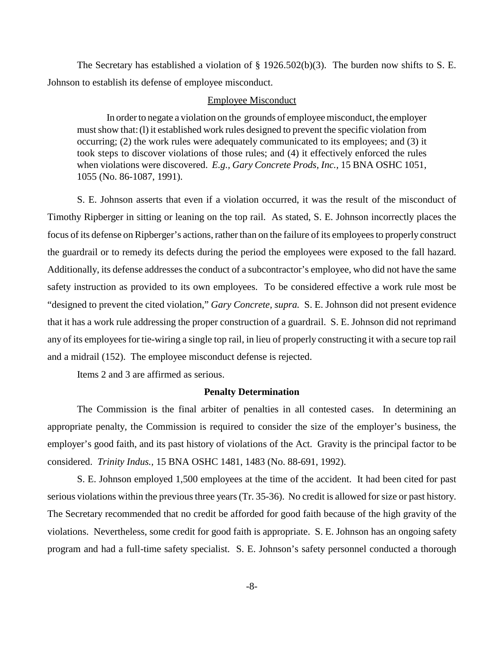The Secretary has established a violation of § 1926.502(b)(3). The burden now shifts to S. E. Johnson to establish its defense of employee misconduct.

#### Employee Misconduct

In order to negate a violation on the grounds of employee misconduct, the employer must show that:(l) it established work rules designed to prevent the specific violation from occurring; (2) the work rules were adequately communicated to its employees; and (3) it took steps to discover violations of those rules; and (4) it effectively enforced the rules when violations were discovered. *E.g., Gary Concrete Prods, Inc.,* 15 BNA OSHC 1051, 1055 (No. 86-1087, 1991).

S. E. Johnson asserts that even if a violation occurred, it was the result of the misconduct of Timothy Ripberger in sitting or leaning on the top rail. As stated, S. E. Johnson incorrectly places the focus of its defense on Ripberger's actions, rather than on the failure of its employees to properly construct the guardrail or to remedy its defects during the period the employees were exposed to the fall hazard. Additionally, its defense addresses the conduct of a subcontractor's employee, who did not have the same safety instruction as provided to its own employees. To be considered effective a work rule most be "designed to prevent the cited violation," *Gary Concrete, supra.* S. E. Johnson did not present evidence that it has a work rule addressing the proper construction of a guardrail. S. E. Johnson did not reprimand any of its employees for tie-wiring a single top rail, in lieu of properly constructing it with a secure top rail and a midrail (152). The employee misconduct defense is rejected.

Items 2 and 3 are affirmed as serious.

#### **Penalty Determination**

The Commission is the final arbiter of penalties in all contested cases. In determining an appropriate penalty, the Commission is required to consider the size of the employer's business, the employer's good faith, and its past history of violations of the Act. Gravity is the principal factor to be considered. *Trinity Indus.,* 15 BNA OSHC 1481, 1483 (No. 88-691, 1992).

S. E. Johnson employed 1,500 employees at the time of the accident. It had been cited for past serious violations within the previous three years (Tr. 35-36). No credit is allowed for size or past history. The Secretary recommended that no credit be afforded for good faith because of the high gravity of the violations. Nevertheless, some credit for good faith is appropriate. S. E. Johnson has an ongoing safety program and had a full-time safety specialist. S. E. Johnson's safety personnel conducted a thorough